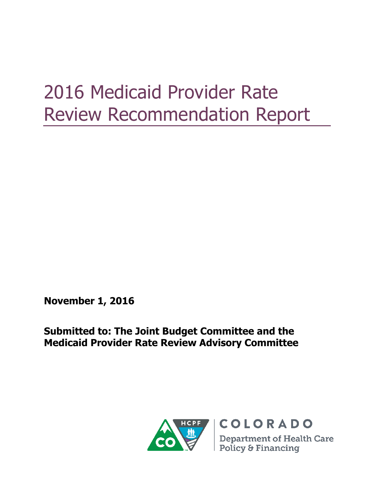# 2016 Medicaid Provider Rate Review Recommendation Report

**November 1, 2016**

**Submitted to: The Joint Budget Committee and the Medicaid Provider Rate Review Advisory Committee**

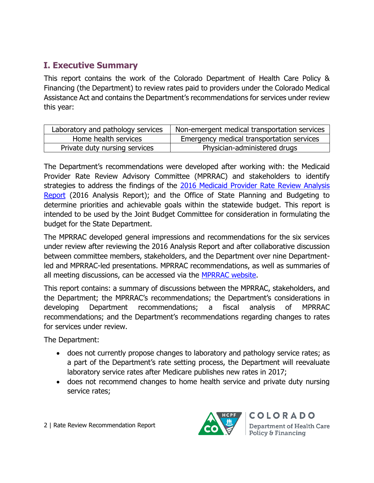# **I. Executive Summary**

This report contains the work of the Colorado Department of Health Care Policy & Financing (the Department) to review rates paid to providers under the Colorado Medical Assistance Act and contains the Department's recommendations for services under review this year:

| Laboratory and pathology services | Non-emergent medical transportation services |
|-----------------------------------|----------------------------------------------|
| Home health services              | Emergency medical transportation services    |
| Private duty nursing services     | Physician-administered drugs                 |

The Department's recommendations were developed after working with: the Medicaid Provider Rate Review Advisory Committee (MPRRAC) and stakeholders to identify strategies to address the findings of the [2016 Medicaid Provider Rate Review Analysis](https://www.colorado.gov/pacific/sites/default/files/2016%20Medicaid%20Provider%20Rate%20Review%20Analysis%20Report.pdf)  [Report](https://www.colorado.gov/pacific/sites/default/files/2016%20Medicaid%20Provider%20Rate%20Review%20Analysis%20Report.pdf) (2016 Analysis Report); and the Office of State Planning and Budgeting to determine priorities and achievable goals within the statewide budget. This report is intended to be used by the Joint Budget Committee for consideration in formulating the budget for the State Department.

The MPRRAC developed general impressions and recommendations for the six services under review after reviewing the 2016 Analysis Report and after collaborative discussion between committee members, stakeholders, and the Department over nine Departmentled and MPRRAC-led presentations. MPRRAC recommendations, as well as summaries of all meeting discussions, can be accessed via the [MPRRAC website.](https://www.colorado.gov/pacific/hcpf/medicaid-provider-rate-review-advisory-committee)

This report contains: a summary of discussions between the MPRRAC, stakeholders, and the Department; the MPRRAC's recommendations; the Department's considerations in developing Department recommendations; a fiscal analysis of MPRRAC recommendations; and the Department's recommendations regarding changes to rates for services under review.

The Department:

- does not currently propose changes to laboratory and pathology service rates; as a part of the Department's rate setting process, the Department will reevaluate laboratory service rates after Medicare publishes new rates in 2017;
- does not recommend changes to home health service and private duty nursing service rates;

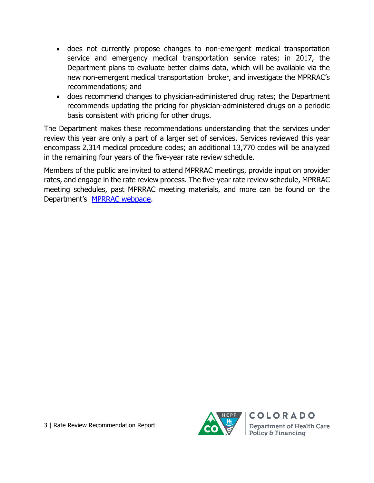- does not currently propose changes to non-emergent medical transportation service and emergency medical transportation service rates; in 2017, the Department plans to evaluate better claims data, which will be available via the new non-emergent medical transportation broker, and investigate the MPRRAC's recommendations; and
- does recommend changes to physician-administered drug rates; the Department recommends updating the pricing for physician-administered drugs on a periodic basis consistent with pricing for other drugs.

The Department makes these recommendations understanding that the services under review this year are only a part of a larger set of services. Services reviewed this year encompass 2,314 medical procedure codes; an additional 13,770 codes will be analyzed in the remaining four years of the five-year rate review schedule.

Members of the public are invited to attend MPRRAC meetings, provide input on provider rates, and engage in the rate review process. The five-year rate review schedule, MPRRAC meeting schedules, past MPRRAC meeting materials, and more can be found on the Department's [MPRRAC webpage.](https://www.colorado.gov/pacific/hcpf/medicaid-provider-rate-review-advisory-committee)

![](_page_2_Picture_5.jpeg)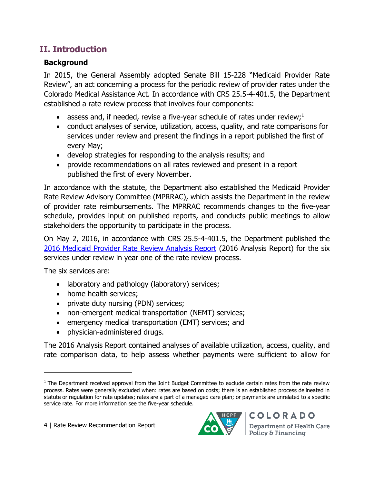# **II. Introduction**

# **Background**

In 2015, the General Assembly adopted Senate Bill 15-228 "Medicaid Provider Rate Review", an act concerning a process for the periodic review of provider rates under the Colorado Medical Assistance Act. In accordance with CRS 25.5-4-401.5, the Department established a rate review process that involves four components:

- assess and, if needed, revise a five-year schedule of rates under review;<sup>1</sup>
- conduct analyses of service, utilization, access, quality, and rate comparisons for services under review and present the findings in a report published the first of every May;
- develop strategies for responding to the analysis results; and
- provide recommendations on all rates reviewed and present in a report published the first of every November.

In accordance with the statute, the Department also established the Medicaid Provider Rate Review Advisory Committee (MPRRAC), which assists the Department in the review of provider rate reimbursements. The MPRRAC recommends changes to the five-year schedule, provides input on published reports, and conducts public meetings to allow stakeholders the opportunity to participate in the process.

On May 2, 2016, in accordance with CRS 25.5-4-401.5, the Department published the [2016 Medicaid Provider Rate Review Analysis Report](https://www.colorado.gov/pacific/sites/default/files/2016%20Medicaid%20Provider%20Rate%20Review%20Analysis%20Report.pdf) (2016 Analysis Report) for the six services under review in year one of the rate review process.

The six services are:

 $\overline{\phantom{a}}$ 

- laboratory and pathology (laboratory) services;
- home health services;
- private duty nursing (PDN) services;
- non-emergent medical transportation (NEMT) services;
- emergency medical transportation (EMT) services; and
- physician-administered drugs.

The 2016 Analysis Report contained analyses of available utilization, access, quality, and rate comparison data, to help assess whether payments were sufficient to allow for

![](_page_3_Picture_19.jpeg)

 $1$  The Department received approval from the Joint Budget Committee to exclude certain rates from the rate review process. Rates were generally excluded when: rates are based on costs; there is an established process delineated in statute or regulation for rate updates; rates are a part of a managed care plan; or payments are unrelated to a specific service rate. For more information see the [five-year schedule.](https://www.colorado.gov/pacific/sites/default/files/Medicaid%20Provider%20Rate%20Review%20Schedule%20FINAL%20October%202015.pdf)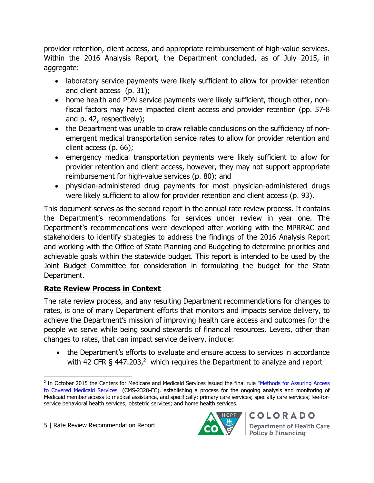provider retention, client access, and appropriate reimbursement of high-value services. Within the 2016 Analysis Report, the Department concluded, as of July 2015, in aggregate:

- laboratory service payments were likely sufficient to allow for provider retention and client access (p. 31);
- home health and PDN service payments were likely sufficient, though other, nonfiscal factors may have impacted client access and provider retention (pp. 57-8 and p. 42, respectively);
- the Department was unable to draw reliable conclusions on the sufficiency of nonemergent medical transportation service rates to allow for provider retention and client access (p. 66);
- emergency medical transportation payments were likely sufficient to allow for provider retention and client access, however, they may not support appropriate reimbursement for high-value services (p. 80); and
- physician-administered drug payments for most physician-administered drugs were likely sufficient to allow for provider retention and client access (p. 93).

This document serves as the second report in the annual rate review process. It contains the Department's recommendations for services under review in year one. The Department's recommendations were developed after working with the MPRRAC and stakeholders to identify strategies to address the findings of the 2016 Analysis Report and working with the Office of State Planning and Budgeting to determine priorities and achievable goals within the statewide budget. This report is intended to be used by the Joint Budget Committee for consideration in formulating the budget for the State Department.

## **Rate Review Process in Context**

The rate review process, and any resulting Department recommendations for changes to rates, is one of many Department efforts that monitors and impacts service delivery, to achieve the Department's mission of improving health care access and outcomes for the people we serve while being sound stewards of financial resources. Levers, other than changes to rates, that can impact service delivery, include:

 the Department's efforts to evaluate and ensure access to services in accordance with 42 CFR § 447.203,<sup>2</sup> which requires the Department to analyze and report

![](_page_4_Picture_12.jpeg)

 $\overline{\phantom{a}}$ <sup>2</sup> In October 2015 the Centers for Medicare and Medicaid Services issued the final rule "Methods for Assuring Access [to Covered Medicaid Services"](https://www.federalregister.gov/documents/2015/11/02/2015-27697/medicaid-program-methods-for-assuring-access-to-covered-medicaid-services) (CMS-2328-FC), establishing a process for the ongoing analysis and monitoring of Medicaid member access to medical assistance, and specifically: primary care services; specialty care services; fee-forservice behavioral health services; obstetric services; and home health services.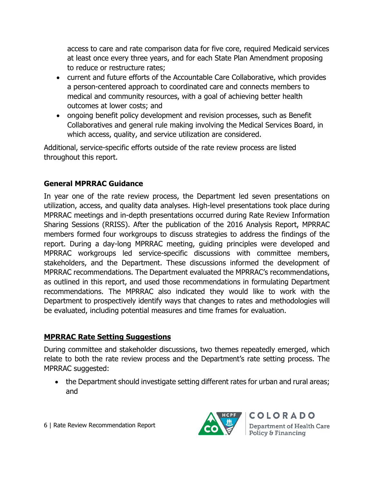access to care and rate comparison data for five core, required Medicaid services at least once every three years, and for each State Plan Amendment proposing to reduce or restructure rates;

- current and future efforts of the Accountable Care Collaborative, which provides a person-centered approach to coordinated care and connects members to medical and community resources, with a goal of achieving better health outcomes at lower costs; and
- ongoing benefit policy development and revision processes, such as Benefit Collaboratives and general rule making involving the Medical Services Board, in which access, quality, and service utilization are considered.

Additional, service-specific efforts outside of the rate review process are listed throughout this report.

## **General MPRRAC Guidance**

In year one of the rate review process, the Department led seven presentations on utilization, access, and quality data analyses. High-level presentations took place during MPRRAC meetings and in-depth presentations occurred during Rate Review Information Sharing Sessions (RRISS). After the publication of the 2016 Analysis Report, MPRRAC members formed four workgroups to discuss strategies to address the findings of the report. During a day-long MPRRAC meeting, guiding principles were developed and MPRRAC workgroups led service-specific discussions with committee members, stakeholders, and the Department. These discussions informed the development of MPRRAC recommendations. The Department evaluated the MPRRAC's recommendations, as outlined in this report, and used those recommendations in formulating Department recommendations. The MPRRAC also indicated they would like to work with the Department to prospectively identify ways that changes to rates and methodologies will be evaluated, including potential measures and time frames for evaluation.

## **MPRRAC Rate Setting Suggestions**

During committee and stakeholder discussions, two themes repeatedly emerged, which relate to both the rate review process and the Department's rate setting process. The MPRRAC suggested:

• the Department should investigate setting different rates for urban and rural areas; and

![](_page_5_Picture_10.jpeg)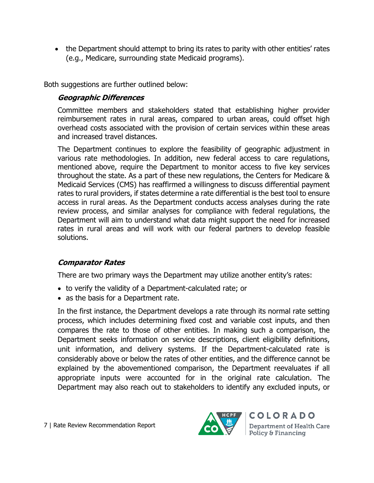• the Department should attempt to bring its rates to parity with other entities' rates (e.g., Medicare, surrounding state Medicaid programs).

Both suggestions are further outlined below:

## **Geographic Differences**

Committee members and stakeholders stated that establishing higher provider reimbursement rates in rural areas, compared to urban areas, could offset high overhead costs associated with the provision of certain services within these areas and increased travel distances.

The Department continues to explore the feasibility of geographic adjustment in various rate methodologies. In addition, new federal access to care regulations, mentioned above, require the Department to monitor access to five key services throughout the state. As a part of these new regulations, the Centers for Medicare & Medicaid Services (CMS) has reaffirmed a willingness to discuss differential payment rates to rural providers, if states determine a rate differential is the best tool to ensure access in rural areas. As the Department conducts access analyses during the rate review process, and similar analyses for compliance with federal regulations, the Department will aim to understand what data might support the need for increased rates in rural areas and will work with our federal partners to develop feasible solutions.

## **Comparator Rates**

There are two primary ways the Department may utilize another entity's rates:

- to verify the validity of a Department-calculated rate; or
- as the basis for a Department rate.

In the first instance, the Department develops a rate through its normal rate setting process, which includes determining fixed cost and variable cost inputs, and then compares the rate to those of other entities. In making such a comparison, the Department seeks information on service descriptions, client eligibility definitions, unit information, and delivery systems. If the Department-calculated rate is considerably above or below the rates of other entities, and the difference cannot be explained by the abovementioned comparison, the Department reevaluates if all appropriate inputs were accounted for in the original rate calculation. The Department may also reach out to stakeholders to identify any excluded inputs, or

![](_page_6_Picture_11.jpeg)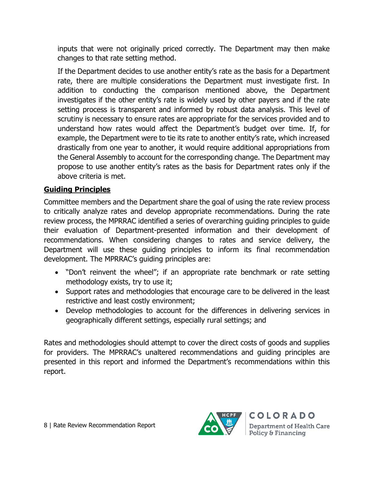inputs that were not originally priced correctly. The Department may then make changes to that rate setting method.

If the Department decides to use another entity's rate as the basis for a Department rate, there are multiple considerations the Department must investigate first. In addition to conducting the comparison mentioned above, the Department investigates if the other entity's rate is widely used by other payers and if the rate setting process is transparent and informed by robust data analysis. This level of scrutiny is necessary to ensure rates are appropriate for the services provided and to understand how rates would affect the Department's budget over time. If, for example, the Department were to tie its rate to another entity's rate, which increased drastically from one year to another, it would require additional appropriations from the General Assembly to account for the corresponding change. The Department may propose to use another entity's rates as the basis for Department rates only if the above criteria is met.

## **Guiding Principles**

Committee members and the Department share the goal of using the rate review process to critically analyze rates and develop appropriate recommendations. During the rate review process, the MPRRAC identified a series of overarching guiding principles to guide their evaluation of Department-presented information and their development of recommendations. When considering changes to rates and service delivery, the Department will use these guiding principles to inform its final recommendation development. The MPRRAC's guiding principles are:

- "Don't reinvent the wheel"; if an appropriate rate benchmark or rate setting methodology exists, try to use it;
- Support rates and methodologies that encourage care to be delivered in the least restrictive and least costly environment;
- Develop methodologies to account for the differences in delivering services in geographically different settings, especially rural settings; and

Rates and methodologies should attempt to cover the direct costs of goods and supplies for providers. The MPRRAC's unaltered recommendations and guiding principles are presented in this report and informed the Department's recommendations within this report.

![](_page_7_Picture_9.jpeg)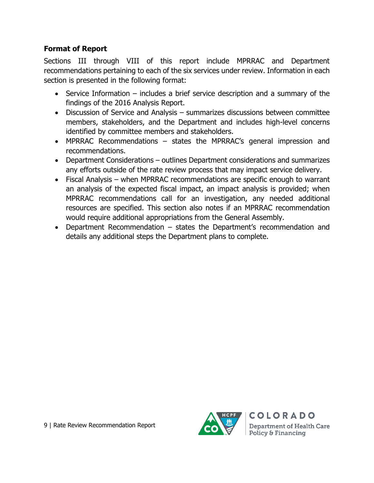## **Format of Report**

Sections III through VIII of this report include MPRRAC and Department recommendations pertaining to each of the six services under review. Information in each section is presented in the following format:

- Service Information includes a brief service description and a summary of the findings of the 2016 Analysis Report.
- Discussion of Service and Analysis summarizes discussions between committee members, stakeholders, and the Department and includes high-level concerns identified by committee members and stakeholders.
- MPRRAC Recommendations states the MPRRAC's general impression and recommendations.
- Department Considerations outlines Department considerations and summarizes any efforts outside of the rate review process that may impact service delivery.
- Fiscal Analysis when MPRRAC recommendations are specific enough to warrant an analysis of the expected fiscal impact, an impact analysis is provided; when MPRRAC recommendations call for an investigation, any needed additional resources are specified. This section also notes if an MPRRAC recommendation would require additional appropriations from the General Assembly.
- Department Recommendation states the Department's recommendation and details any additional steps the Department plans to complete.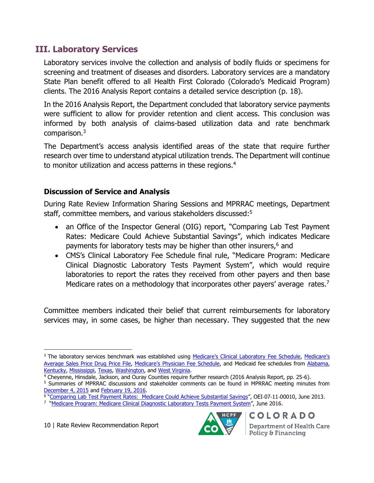# **III. Laboratory Services**

Laboratory services involve the collection and analysis of bodily fluids or specimens for screening and treatment of diseases and disorders. Laboratory services are a mandatory State Plan benefit offered to all Health First Colorado (Colorado's Medicaid Program) clients. The 2016 Analysis Report contains a detailed service description (p. 18).

In the 2016 Analysis Report, the Department concluded that laboratory service payments were sufficient to allow for provider retention and client access. This conclusion was informed by both analysis of claims-based utilization data and rate benchmark comparison.<sup>3</sup>

The Department's access analysis identified areas of the state that require further research over time to understand atypical utilization trends. The Department will continue to monitor utilization and access patterns in these regions.<sup>4</sup>

## **Discussion of Service and Analysis**

During Rate Review Information Sharing Sessions and MPRRAC meetings, Department staff, committee members, and various stakeholders discussed:<sup>5</sup>

- an Office of the Inspector General (OIG) report, "Comparing Lab Test Payment Rates: Medicare Could Achieve Substantial Savings", which indicates Medicare payments for laboratory tests may be higher than other insurers,<sup>6</sup> and
- CMS's Clinical Laboratory Fee Schedule final rule, "Medicare Program: Medicare Clinical Diagnostic Laboratory Tests Payment System", which would require laboratories to report the rates they received from other payers and then base Medicare rates on a methodology that incorporates other payers' average rates.<sup>7</sup>

Committee members indicated their belief that current reimbursements for laboratory services may, in some cases, be higher than necessary. They suggested that the new

 $\overline{a}$ 

![](_page_9_Picture_15.jpeg)

<sup>&</sup>lt;sup>3</sup> The laboratory services benchmark was established using [Medicare's Clinical Laboratory Fee Schedule](https://www.cms.gov/Medicare/Medicare-Fee-for-Service-Payment/ClinicalLabFeeSched/Downloads/CY2016-CLFS-Codes-Final-Determinations.pdf), Medicare's [Average Sales Price Drug Price File,](https://www.cms.gov/Medicare/Medicare-Fee-for-Service-Part-B-Drugs/McrPartBDrugAvgSalesPrice/2016ASPFiles.html) [Medicare's Physician Fee Schedule](http://www.novitas-solutions.com/webcenter/portal/MedicareJH/FeeLookup?_afrLoop=70931034055000#!%40%40%3F_afrLoop%3D70931034055000%26_adf.ctrl-state%3Du1ixxer8z_42), and Medicaid fee schedules from [Alabama,](http://www.medicaid.alabama.gov/CONTENT/6.0_Providers/6.6_Fee_Schedules.aspx) [Kentucky,](http://chfs.ky.gov/dms/fee.htm) [Mississippi,](https://www.medicaid.ms.gov/providers/fee-schedules-and-rates/) [Texas,](http://public.tmhp.com/FeeSchedules/) [Washington,](http://www.hca.wa.gov/medicaid/rbrvs/pages/index.aspx) and [West Virginia.](http://www.dhhr.wv.gov/bms/FEES/Pages/default.aspx)

<sup>4</sup> Cheyenne, Hinsdale, Jackson, and Ouray Counties require further research (2016 Analysis Report, pp. 25-6).

<sup>5</sup> Summaries of MPRRAC discussions and stakeholder comments can be found in MPRRAC meeting minutes from [December 4, 2015](https://www.colorado.gov/pacific/sites/default/files/12-04-2015%20MPRRAC%20Meeting%20Minutes.pdf) and [February 19, 2016.](https://www.colorado.gov/pacific/sites/default/files/MPRRAC%20Meeting%20Minutes%20-%20Proposed%20-%202-19-2016.pdf)

<sup>&</sup>lt;sup>6</sup> "<u>Comparing Lab Test Payment [Rates: Medicare](https://oig.hhs.gov/oei/reports/oei-07-11-00010.asp) Could Achieve Substantial Savings</u>", OEI-07-11-00010, June 2013.<br>7 "<u>[Medicare Program: Medicare Clinical Diagnostic Laboratory Tests Payment System](https://www.cms.gov/Medicare/Medicare-Fee-for-Service-Payment/ClinicalLabFeeSched/PAMA-Regulations.html)</u>", June 2016.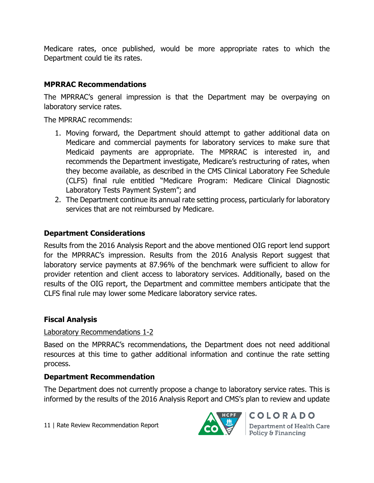Medicare rates, once published, would be more appropriate rates to which the Department could tie its rates.

## **MPRRAC Recommendations**

The MPRRAC's general impression is that the Department may be overpaying on laboratory service rates.

The MPRRAC recommends:

- 1. Moving forward, the Department should attempt to gather additional data on Medicare and commercial payments for laboratory services to make sure that Medicaid payments are appropriate. The MPRRAC is interested in, and recommends the Department investigate, Medicare's restructuring of rates, when they become available, as described in the CMS Clinical Laboratory Fee Schedule (CLFS) final rule entitled "Medicare Program: Medicare Clinical Diagnostic Laboratory Tests Payment System"; and
- 2. The Department continue its annual rate setting process, particularly for laboratory services that are not reimbursed by Medicare.

## **Department Considerations**

Results from the 2016 Analysis Report and the above mentioned OIG report lend support for the MPRRAC's impression. Results from the 2016 Analysis Report suggest that laboratory service payments at 87.96% of the benchmark were sufficient to allow for provider retention and client access to laboratory services. Additionally, based on the results of the OIG report, the Department and committee members anticipate that the CLFS final rule may lower some Medicare laboratory service rates.

## **Fiscal Analysis**

## Laboratory Recommendations 1-2

Based on the MPRRAC's recommendations, the Department does not need additional resources at this time to gather additional information and continue the rate setting process.

## **Department Recommendation**

The Department does not currently propose a change to laboratory service rates. This is informed by the results of the 2016 Analysis Report and CMS's plan to review and update

11 | Rate Review Recommendation Report

![](_page_10_Picture_14.jpeg)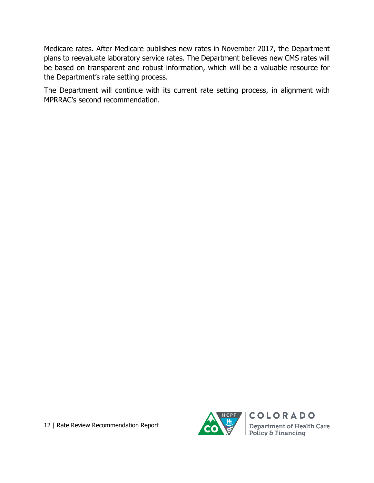Medicare rates. After Medicare publishes new rates in November 2017, the Department plans to reevaluate laboratory service rates. The Department believes new CMS rates will be based on transparent and robust information, which will be a valuable resource for the Department's rate setting process.

The Department will continue with its current rate setting process, in alignment with MPRRAC's second recommendation.

![](_page_11_Picture_3.jpeg)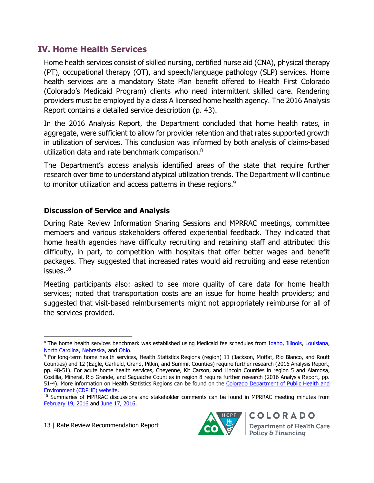# **IV. Home Health Services**

Home health services consist of skilled nursing, certified nurse aid (CNA), physical therapy (PT), occupational therapy (OT), and speech/language pathology (SLP) services. Home health services are a mandatory State Plan benefit offered to Health First Colorado (Colorado's Medicaid Program) clients who need intermittent skilled care. Rendering providers must be employed by a class A licensed home health agency. The 2016 Analysis Report contains a detailed service description (p. 43).

In the 2016 Analysis Report, the Department concluded that home health rates, in aggregate, were sufficient to allow for provider retention and that rates supported growth in utilization of services. This conclusion was informed by both analysis of claims-based utilization data and rate benchmark comparison.<sup>8</sup>

The Department's access analysis identified areas of the state that require further research over time to understand atypical utilization trends. The Department will continue to monitor utilization and access patterns in these regions.<sup>9</sup>

## **Discussion of Service and Analysis**

During Rate Review Information Sharing Sessions and MPRRAC meetings, committee members and various stakeholders offered experiential feedback. They indicated that home health agencies have difficulty recruiting and retaining staff and attributed this difficulty, in part, to competition with hospitals that offer better wages and benefit packages. They suggested that increased rates would aid recruiting and ease retention  $issues.<sup>10</sup>$ 

Meeting participants also: asked to see more quality of care data for home health services; noted that transportation costs are an issue for home health providers; and suggested that visit-based reimbursements might not appropriately reimburse for all of the services provided.

 $\overline{\phantom{a}}$ 

![](_page_12_Picture_11.jpeg)

<sup>8</sup> The home health services benchmark was established using Medicaid fee schedules from [Idaho,](http://healthandwelfare.idaho.gov/Providers/MedicaidProviders/MedicaidFeeSchedule/tabid/268/default.aspx) [Illinois,](https://www.illinois.gov/hfs/MedicalProviders/MedicaidReimbursement/Pages/HHFeeSchedule.aspx) [Louisiana,](http://www.lamedicaid.com/provweb1/fee_schedules/feeschedulesindex.htm) [North Carolina,](http://www2.ncdhhs.gov/dma/fee/) [Nebraska,](http://dhhs.ne.gov/medicaid/Pages/med_practitioner_fee_schedule.aspx) and [Ohio.](http://medicaid.ohio.gov/PROVIDERS/FeeScheduleandRates/SchedulesandRates.aspx)

 $9$  For long-term home health services, Health Statistics Regions (region) 11 (Jackson, Moffat, Rio Blanco, and Routt Counties) and 12 (Eagle, Garfield, Grand, Pitkin, and Summit Counties) require further research (2016 Analysis Report, pp. 48-51). For acute home health services, Cheyenne, Kit Carson, and Lincoln Counties in region 5 and Alamosa, Costilla, Mineral, Rio Grande, and Saguache Counties in region 8 require further research (2016 Analysis Report, pp. 51-4). More information on Health Statistics Regions can be found on the [Colorado Department of Public Health and](http://www.chd.dphe.state.co.us/HealthDisparitiesProfiles/dispHealthProfiles.aspx)  [Environment \(CDPHE\) website.](http://www.chd.dphe.state.co.us/HealthDisparitiesProfiles/dispHealthProfiles.aspx)

<sup>&</sup>lt;sup>10</sup> Summaries of MPRRAC discussions and stakeholder comments can be found in MPRRAC meeting minutes from [February 19, 2016](https://www.colorado.gov/pacific/sites/default/files/MPRRAC%20Meeting%20Minutes%20-%20Proposed%20-%202-19-2016.pdf) and [June 17, 2016.](https://www.colorado.gov/pacific/sites/default/files/MPRRAC%20Meeting%20Minutes%20-%20Draft%20-%206-17-2016.pdf)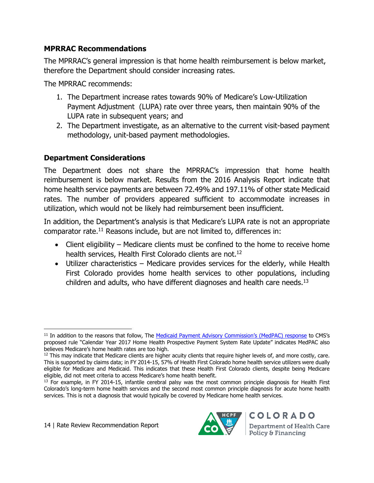## **MPRRAC Recommendations**

The MPRRAC's general impression is that home health reimbursement is below market, therefore the Department should consider increasing rates.

The MPRRAC recommends:

- 1. The Department increase rates towards 90% of Medicare's Low-Utilization Payment Adjustment (LUPA) rate over three years, then maintain 90% of the LUPA rate in subsequent years; and
- 2. The Department investigate, as an alternative to the current visit-based payment methodology, unit-based payment methodologies.

## **Department Considerations**

The Department does not share the MPRRAC's impression that home health reimbursement is below market. Results from the 2016 Analysis Report indicate that home health service payments are between 72.49% and 197.11% of other state Medicaid rates. The number of providers appeared sufficient to accommodate increases in utilization, which would not be likely had reimbursement been insufficient.

In addition, the Department's analysis is that Medicare's LUPA rate is not an appropriate comparator rate. <sup>11</sup> Reasons include, but are not limited to, differences in:

- Client eligibility Medicare clients must be confined to the home to receive home health services, Health First Colorado clients are not.<sup>12</sup>
- Utilizer characteristics Medicare provides services for the elderly, while Health First Colorado provides home health services to other populations, including children and adults, who have different diagnoses and health care needs.<sup>13</sup>

![](_page_13_Picture_14.jpeg)

l <sup>11</sup> In addition to the reasons that follow, The [Medicaid Payment Advisory Commission's \(MedPAC\) response](http://www.medpac.gov/docs/default-source/comment-letters/20160824_cy17_hha_pps_nprm_medpac_comment_rev_rev_sec.pdf?sfvrsn=0) to CMS's proposed rule "Calendar Year 2017 Home Health Prospective Payment System Rate Update" indicates MedPAC also believes Medicare's home health rates are too high.

 $12$  This may indicate that Medicare clients are higher acuity clients that require higher levels of, and more costly, care. This is supported by claims data; in FY 2014-15, 57% of Health First Colorado home health service utilizers were dually eligible for Medicare and Medicaid. This indicates that these Health First Colorado clients, despite being Medicare eligible, did not meet criteria to access Medicare's home health benefit.

<sup>&</sup>lt;sup>13</sup> For example, in FY 2014-15, infantile cerebral palsy was the most common principle diagnosis for Health First Colorado's long-term home health services and the second most common principle diagnosis for acute home health services. This is not a diagnosis that would typically be covered by Medicare home health services.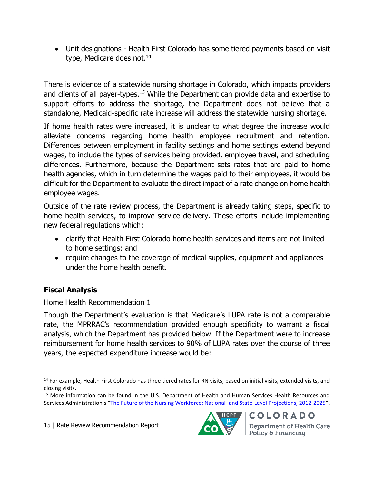Unit designations - Health First Colorado has some tiered payments based on visit type, Medicare does not.<sup>14</sup>

There is evidence of a statewide nursing shortage in Colorado, which impacts providers and clients of all payer-types.<sup>15</sup> While the Department can provide data and expertise to support efforts to address the shortage, the Department does not believe that a standalone, Medicaid-specific rate increase will address the statewide nursing shortage.

If home health rates were increased, it is unclear to what degree the increase would alleviate concerns regarding home health employee recruitment and retention. Differences between employment in facility settings and home settings extend beyond wages, to include the types of services being provided, employee travel, and scheduling differences. Furthermore, because the Department sets rates that are paid to home health agencies, which in turn determine the wages paid to their employees, it would be difficult for the Department to evaluate the direct impact of a rate change on home health employee wages.

Outside of the rate review process, the Department is already taking steps, specific to home health services, to improve service delivery. These efforts include implementing new federal regulations which:

- clarify that Health First Colorado home health services and items are not limited to home settings; and
- require changes to the coverage of medical supplies, equipment and appliances under the home health benefit.

## **Fiscal Analysis**

## Home Health Recommendation 1

Though the Department's evaluation is that Medicare's LUPA rate is not a comparable rate, the MPRRAC's recommendation provided enough specificity to warrant a fiscal analysis, which the Department has provided below. If the Department were to increase reimbursement for home health services to 90% of LUPA rates over the course of three years, the expected expenditure increase would be:

![](_page_14_Picture_12.jpeg)

 $\overline{\phantom{a}}$ <sup>14</sup> For example, Health First Colorado has three tiered rates for RN visits, based on initial visits, extended visits, and closing visits.

<sup>&</sup>lt;sup>15</sup> More information can be found in the U.S. Department of Health and Human Services Health Resources and Services Administration's "[The Future of the Nursing Workforce: National-](http://bhpr.hrsa.gov/healthworkforce/supplydemand/nursing/workforceprojections/nursingprojections.pdf) and State-Level Projections, 2012-2025".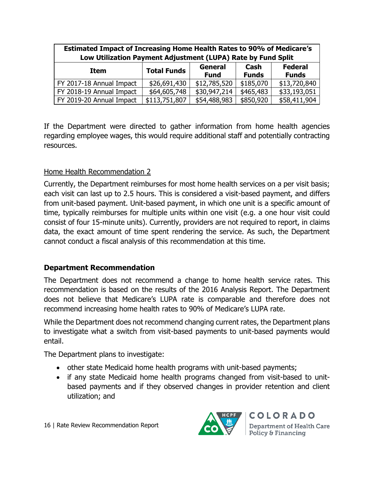| <b>Estimated Impact of Increasing Home Health Rates to 90% of Medicare's</b><br>Low Utilization Payment Adjustment (LUPA) Rate by Fund Split |                    |                        |                      |                                |  |  |
|----------------------------------------------------------------------------------------------------------------------------------------------|--------------------|------------------------|----------------------|--------------------------------|--|--|
| <b>Item</b>                                                                                                                                  | <b>Total Funds</b> | General<br><b>Fund</b> | Cash<br><b>Funds</b> | <b>Federal</b><br><b>Funds</b> |  |  |
| FY 2017-18 Annual Impact                                                                                                                     | \$26,691,430       | \$12,785,520           | \$185,070            | \$13,720,840                   |  |  |
| FY 2018-19 Annual Impact                                                                                                                     | \$64,605,748       | \$30,947,214           | \$465,483            | \$33,193,051                   |  |  |
| FY 2019-20 Annual Impact                                                                                                                     | \$113,751,807      | \$54,488,983           | \$850,920            | \$58,411,904                   |  |  |

If the Department were directed to gather information from home health agencies regarding employee wages, this would require additional staff and potentially contracting resources.

## Home Health Recommendation 2

Currently, the Department reimburses for most home health services on a per visit basis; each visit can last up to 2.5 hours. This is considered a visit-based payment, and differs from unit-based payment. Unit-based payment, in which one unit is a specific amount of time, typically reimburses for multiple units within one visit (e.g. a one hour visit could consist of four 15-minute units). Currently, providers are not required to report, in claims data, the exact amount of time spent rendering the service. As such, the Department cannot conduct a fiscal analysis of this recommendation at this time.

#### **Department Recommendation**

The Department does not recommend a change to home health service rates. This recommendation is based on the results of the 2016 Analysis Report. The Department does not believe that Medicare's LUPA rate is comparable and therefore does not recommend increasing home health rates to 90% of Medicare's LUPA rate.

While the Department does not recommend changing current rates, the Department plans to investigate what a switch from visit-based payments to unit-based payments would entail.

The Department plans to investigate:

- other state Medicaid home health programs with unit-based payments;
- if any state Medicaid home health programs changed from visit-based to unitbased payments and if they observed changes in provider retention and client utilization; and

![](_page_15_Picture_11.jpeg)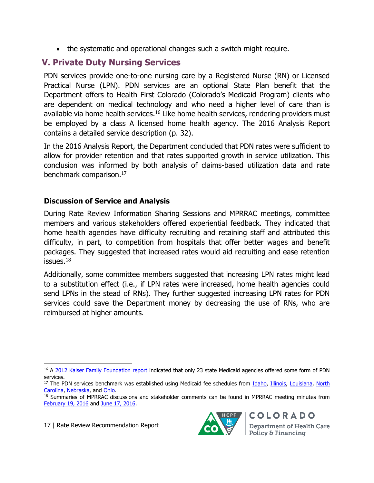the systematic and operational changes such a switch might require.

# **V. Private Duty Nursing Services**

PDN services provide one-to-one nursing care by a Registered Nurse (RN) or Licensed Practical Nurse (LPN). PDN services are an optional State Plan benefit that the Department offers to Health First Colorado (Colorado's Medicaid Program) clients who are dependent on medical technology and who need a higher level of care than is available via home health services.<sup>16</sup> Like home health services, rendering providers must be employed by a class A licensed home health agency. The 2016 Analysis Report contains a detailed service description (p. 32).

In the 2016 Analysis Report, the Department concluded that PDN rates were sufficient to allow for provider retention and that rates supported growth in service utilization. This conclusion was informed by both analysis of claims-based utilization data and rate benchmark comparison.<sup>17</sup>

## **Discussion of Service and Analysis**

During Rate Review Information Sharing Sessions and MPRRAC meetings, committee members and various stakeholders offered experiential feedback. They indicated that home health agencies have difficulty recruiting and retaining staff and attributed this difficulty, in part, to competition from hospitals that offer better wages and benefit packages. They suggested that increased rates would aid recruiting and ease retention issues. $18$ 

Additionally, some committee members suggested that increasing LPN rates might lead to a substitution effect (i.e., if LPN rates were increased, home health agencies could send LPNs in the stead of RNs). They further suggested increasing LPN rates for PDN services could save the Department money by decreasing the use of RNs, who are reimbursed at higher amounts.

17 | Rate Review Recommendation Report

![](_page_16_Picture_11.jpeg)

 $\overline{a}$ <sup>16</sup> A [2012 Kaiser Family Foundation report](http://kff.org/medicaid/state-indicator/private-duty-nursing-services/) indicated that only 23 state Medicaid agencies offered some form of PDN services.

<sup>&</sup>lt;sup>17</sup> The PDN services benchmark was established using Medicaid fee schedules from [Idaho,](http://healthandwelfare.idaho.gov/Providers/MedicaidProviders/MedicaidFeeSchedule/tabid/268/default.aspx) [Illinois,](https://www.illinois.gov/hfs/MedicalProviders/MedicaidReimbursement/Pages/HHFeeSchedule.aspx) [Louisiana,](http://www.lamedicaid.com/provweb1/fee_schedules/feeschedulesindex.htm) North [Carolina,](http://www2.ncdhhs.gov/dma/fee/) [Nebraska,](http://dhhs.ne.gov/medicaid/Pages/med_practitioner_fee_schedule.aspx) and [Ohio.](http://medicaid.ohio.gov/PROVIDERS/FeeScheduleandRates/SchedulesandRates.aspx)

<sup>&</sup>lt;sup>18</sup> Summaries of MPRRAC discussions and stakeholder comments can be found in MPRRAC meeting minutes from [February 19, 2016](https://www.colorado.gov/pacific/sites/default/files/MPRRAC%20Meeting%20Minutes%20-%20Proposed%20-%202-19-2016.pdf) and [June 17, 2016.](https://www.colorado.gov/pacific/sites/default/files/MPRRAC%20Meeting%20Minutes%20-%20Draft%20-%206-17-2016.pdf)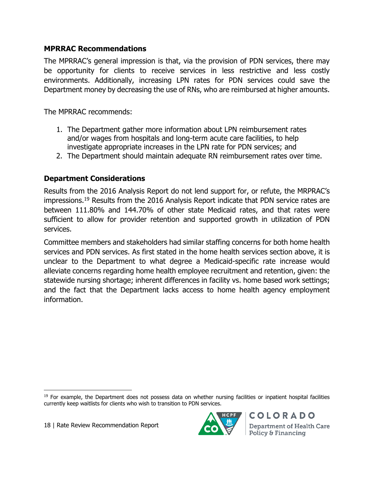#### **MPRRAC Recommendations**

The MPRRAC's general impression is that, via the provision of PDN services, there may be opportunity for clients to receive services in less restrictive and less costly environments. Additionally, increasing LPN rates for PDN services could save the Department money by decreasing the use of RNs, who are reimbursed at higher amounts.

The MPRRAC recommends:

- 1. The Department gather more information about LPN reimbursement rates and/or wages from hospitals and long-term acute care facilities, to help investigate appropriate increases in the LPN rate for PDN services; and
- 2. The Department should maintain adequate RN reimbursement rates over time.

## **Department Considerations**

Results from the 2016 Analysis Report do not lend support for, or refute, the MRPRAC's impressions.<sup>19</sup> Results from the 2016 Analysis Report indicate that PDN service rates are between 111.80% and 144.70% of other state Medicaid rates, and that rates were sufficient to allow for provider retention and supported growth in utilization of PDN services.

Committee members and stakeholders had similar staffing concerns for both home health services and PDN services. As first stated in the home health services section above, it is unclear to the Department to what degree a Medicaid-specific rate increase would alleviate concerns regarding home health employee recruitment and retention, given: the statewide nursing shortage; inherent differences in facility vs. home based work settings; and the fact that the Department lacks access to home health agency employment information.

 $\overline{\phantom{a}}$ 

![](_page_17_Picture_10.jpeg)

<sup>&</sup>lt;sup>19</sup> For example, the Department does not possess data on whether nursing facilities or inpatient hospital facilities currently keep waitlists for clients who wish to transition to PDN services.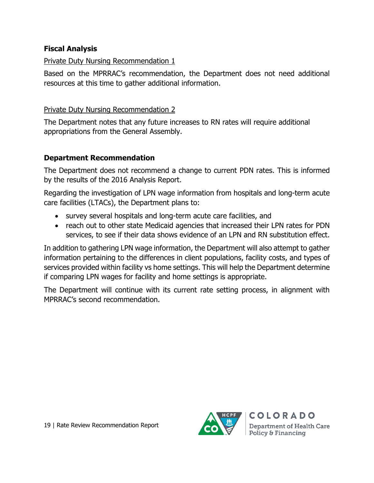#### **Fiscal Analysis**

#### Private Duty Nursing Recommendation 1

Based on the MPRRAC's recommendation, the Department does not need additional resources at this time to gather additional information.

#### Private Duty Nursing Recommendation 2

The Department notes that any future increases to RN rates will require additional appropriations from the General Assembly.

## **Department Recommendation**

The Department does not recommend a change to current PDN rates. This is informed by the results of the 2016 Analysis Report.

Regarding the investigation of LPN wage information from hospitals and long-term acute care facilities (LTACs), the Department plans to:

- survey several hospitals and long-term acute care facilities, and
- reach out to other state Medicaid agencies that increased their LPN rates for PDN services, to see if their data shows evidence of an LPN and RN substitution effect.

In addition to gathering LPN wage information, the Department will also attempt to gather information pertaining to the differences in client populations, facility costs, and types of services provided within facility vs home settings. This will help the Department determine if comparing LPN wages for facility and home settings is appropriate.

The Department will continue with its current rate setting process, in alignment with MPRRAC's second recommendation.

![](_page_18_Picture_12.jpeg)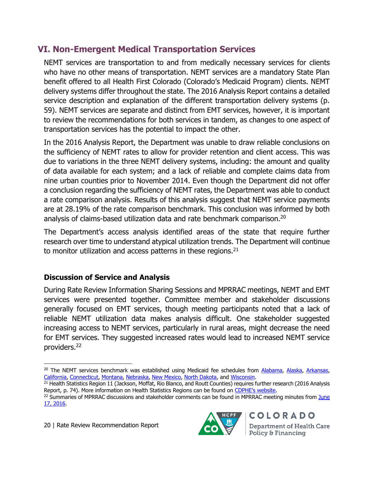# **VI. Non-Emergent Medical Transportation Services**

NEMT services are transportation to and from medically necessary services for clients who have no other means of transportation. NEMT services are a mandatory State Plan benefit offered to all Health First Colorado (Colorado's Medicaid Program) clients. NEMT delivery systems differ throughout the state. The 2016 Analysis Report contains a detailed service description and explanation of the different transportation delivery systems (p. 59). NEMT services are separate and distinct from EMT services, however, it is important to review the recommendations for both services in tandem, as changes to one aspect of transportation services has the potential to impact the other.

In the 2016 Analysis Report, the Department was unable to draw reliable conclusions on the sufficiency of NEMT rates to allow for provider retention and client access. This was due to variations in the three NEMT delivery systems, including: the amount and quality of data available for each system; and a lack of reliable and complete claims data from nine urban counties prior to November 2014. Even though the Department did not offer a conclusion regarding the sufficiency of NEMT rates, the Department was able to conduct a rate comparison analysis. Results of this analysis suggest that NEMT service payments are at 28.19% of the rate comparison benchmark. This conclusion was informed by both analysis of claims-based utilization data and rate benchmark comparison.<sup>20</sup>

The Department's access analysis identified areas of the state that require further research over time to understand atypical utilization trends. The Department will continue to monitor utilization and access patterns in these regions. $21$ 

## **Discussion of Service and Analysis**

During Rate Review Information Sharing Sessions and MPRRAC meetings, NEMT and EMT services were presented together. Committee member and stakeholder discussions generally focused on EMT services, though meeting participants noted that a lack of reliable NEMT utilization data makes analysis difficult. One stakeholder suggested increasing access to NEMT services, particularly in rural areas, might decrease the need for EMT services. They suggested increased rates would lead to increased NEMT service providers.<sup>22</sup>

 $\overline{a}$ 

![](_page_19_Picture_10.jpeg)

<sup>&</sup>lt;sup>20</sup> The NEMT services benchmark was established using Medicaid fee schedules from [Alabama,](http://www.medicaid.alabama.gov/CONTENT/6.0_Providers/6.6_Fee_Schedules.aspx) [Alaska,](https://medicaidalaska.com/portals/wps/portal/DocumentsandForms) [Arkansas,](https://www.medicaid.state.ar.us/Provider/docs/fees.aspx) [California,](https://files.medi-cal.ca.gov/pubsdoco/rates/rateshome.asp) [Connecticut,](https://www.ctdssmap.com/CTPortal/Provider/Provider+Fee+Schedule+Download/tabId/54/Default.aspx) [Montana,](https://medicaidprovider.mt.gov/) [Nebraska,](http://dhhs.ne.gov/medicaid/Pages/med_practitioner_fee_schedule.aspx) [New Mexico,](http://www.hsd.state.nm.us/providers/fee-schedules.aspx) [North Dakota,](https://www.nd.gov/dhs/services/medicalserv/medicaid/provider-fee-schedules.html) and [Wisconsin.](https://www.forwardhealth.wi.gov/WIPortal/Tab/42/icscontent/provider/maxFee/maxFeeDownloadsPdfVersions.htm.spage)

<sup>&</sup>lt;sup>21</sup> Health Statistics Region 11 (Jackson, Moffat, Rio Blanco, and Routt Counties) requires further research (2016 Analysis Report, p. 74). More information on Health Statistics Regions can be found on [CDPHE's website](http://www.chd.dphe.state.co.us/HealthDisparitiesProfiles/dispHealthProfiles.aspx).

<sup>&</sup>lt;sup>22</sup> Summaries of MPRRAC discussions and stakeholder comments can be found in MPRRAC meeting minutes from June [17, 2016.](https://www.colorado.gov/pacific/sites/default/files/MPRRAC%20Meeting%20Minutes%20-%20Draft%20-%206-17-2016.pdf)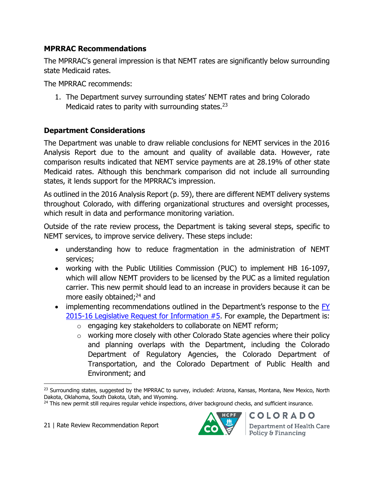## **MPRRAC Recommendations**

The MPRRAC's general impression is that NEMT rates are significantly below surrounding state Medicaid rates.

The MPRRAC recommends:

1. The Department survey surrounding states' NEMT rates and bring Colorado Medicaid rates to parity with surrounding states. $^{23}$ 

## **Department Considerations**

The Department was unable to draw reliable conclusions for NEMT services in the 2016 Analysis Report due to the amount and quality of available data. However, rate comparison results indicated that NEMT service payments are at 28.19% of other state Medicaid rates. Although this benchmark comparison did not include all surrounding states, it lends support for the MPRRAC's impression.

As outlined in the 2016 Analysis Report (p. 59), there are different NEMT delivery systems throughout Colorado, with differing organizational structures and oversight processes, which result in data and performance monitoring variation.

Outside of the rate review process, the Department is taking several steps, specific to NEMT services, to improve service delivery. These steps include:

- understanding how to reduce fragmentation in the administration of NEMT services;
- working with the Public Utilities Commission (PUC) to implement HB 16-1097, which will allow NEMT providers to be licensed by the PUC as a limited regulation carrier. This new permit should lead to an increase in providers because it can be more easily obtained;<sup>24</sup> and
- implementing recommendations outlined in the Department's response to the FY [2015-16 Legislative](https://www.colorado.gov/pacific/sites/default/files/Health%20Care%20Policy%20and%20Financing%20FY%202015-16%20RFI%205.pdf) Request for Information #5. For example, the Department is:
	- o engaging key stakeholders to collaborate on NEMT reform;
	- $\circ$  working more closely with other Colorado State agencies where their policy and planning overlaps with the Department, including the Colorado Department of Regulatory Agencies, the Colorado Department of Transportation, and the Colorado Department of Public Health and Environment; and

 $\overline{\phantom{a}}$ 

![](_page_20_Picture_16.jpeg)

<sup>&</sup>lt;sup>23</sup> Surrounding states, suggested by the MPRRAC to survey, included: Arizona, Kansas, Montana, New Mexico, North Dakota, Oklahoma, South Dakota, Utah, and Wyoming.

<sup>&</sup>lt;sup>24</sup> This new permit still requires reqular vehicle inspections, driver background checks, and sufficient insurance.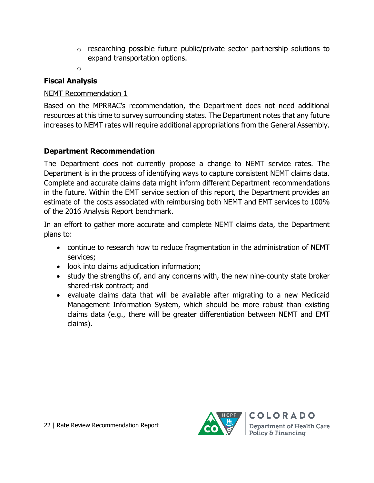- o researching possible future public/private sector partnership solutions to expand transportation options.
- o

## **Fiscal Analysis**

## NEMT Recommendation 1

Based on the MPRRAC's recommendation, the Department does not need additional resources at this time to survey surrounding states. The Department notes that any future increases to NEMT rates will require additional appropriations from the General Assembly.

## **Department Recommendation**

The Department does not currently propose a change to NEMT service rates. The Department is in the process of identifying ways to capture consistent NEMT claims data. Complete and accurate claims data might inform different Department recommendations in the future. Within the EMT service section of this report, the Department provides an estimate of the costs associated with reimbursing both NEMT and EMT services to 100% of the 2016 Analysis Report benchmark.

In an effort to gather more accurate and complete NEMT claims data, the Department plans to:

- continue to research how to reduce fragmentation in the administration of NEMT services;
- look into claims adjudication information;
- study the strengths of, and any concerns with, the new nine-county state broker shared-risk contract; and
- evaluate claims data that will be available after migrating to a new Medicaid Management Information System, which should be more robust than existing claims data (e.g., there will be greater differentiation between NEMT and EMT claims).

![](_page_21_Picture_13.jpeg)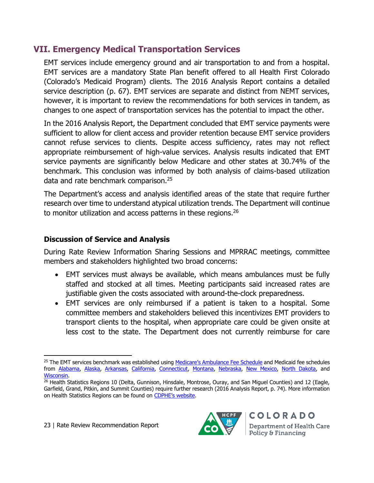# **VII. Emergency Medical Transportation Services**

EMT services include emergency ground and air transportation to and from a hospital. EMT services are a mandatory State Plan benefit offered to all Health First Colorado (Colorado's Medicaid Program) clients. The 2016 Analysis Report contains a detailed service description (p. 67). EMT services are separate and distinct from NEMT services, however, it is important to review the recommendations for both services in tandem, as changes to one aspect of transportation services has the potential to impact the other.

In the 2016 Analysis Report, the Department concluded that EMT service payments were sufficient to allow for client access and provider retention because EMT service providers cannot refuse services to clients. Despite access sufficiency, rates may not reflect appropriate reimbursement of high-value services. Analysis results indicated that EMT service payments are significantly below Medicare and other states at 30.74% of the benchmark. This conclusion was informed by both analysis of claims-based utilization data and rate benchmark comparison.<sup>25</sup>

The Department's access and analysis identified areas of the state that require further research over time to understand atypical utilization trends. The Department will continue to monitor utilization and access patterns in these regions.<sup>26</sup>

## **Discussion of Service and Analysis**

During Rate Review Information Sharing Sessions and MPRRAC meetings, committee members and stakeholders highlighted two broad concerns:

- EMT services must always be available, which means ambulances must be fully staffed and stocked at all times. Meeting participants said increased rates are justifiable given the costs associated with around-the-clock preparedness.
- EMT services are only reimbursed if a patient is taken to a hospital. Some committee members and stakeholders believed this incentivizes EMT providers to transport clients to the hospital, when appropriate care could be given onsite at less cost to the state. The Department does not currently reimburse for care

![](_page_22_Picture_11.jpeg)

l <sup>25</sup> The EMT services benchmark was established using [Medicare's Ambulance Fee Schedule](https://www.cms.gov/Medicare/Medicare-Fee-for-Service-Payment/AmbulanceFeeSchedule/afspuf.html) and Medicaid fee schedules from [Alabama,](http://www.medicaid.alabama.gov/CONTENT/6.0_Providers/6.6_Fee_Schedules.aspx) [Alaska,](https://medicaidalaska.com/portals/wps/portal/DocumentsandForms) [Arkansas,](https://www.medicaid.state.ar.us/provider/docs/fees.aspx) [California,](https://files.medi-cal.ca.gov/pubsdoco/rates/rateshome.asp) [Connecticut,](https://www.ctdssmap.com/CTPortal/Provider/Provider+Fee+Schedule+Download/tabId/54/Default.aspx) [Montana,](https://medicaidprovider.mt.gov/) [Nebraska,](http://dhhs.ne.gov/medicaid/Pages/med_practitioner_fee_schedule.aspx) [New Mexico,](http://www.hsd.state.nm.us/providers/fee-schedules.aspx) [North Dakota,](https://www.nd.gov/dhs/services/medicalserv/medicaid/provider-fee-schedules.html) and [Wisconsin.](https://www.forwardhealth.wi.gov/WIPortal/Tab/42/icscontent/provider/maxFee/maxFeeDownloadsPdfVersions.htm.spage)

<sup>&</sup>lt;sup>26</sup> Health Statistics Regions 10 (Delta, Gunnison, Hinsdale, Montrose, Ouray, and San Miguel Counties) and 12 (Eagle, Garfield, Grand, Pitkin, and Summit Counties) require further research (2016 Analysis Report, p. 74). More information on Health Statistics Regions can be found on [CDPHE's website](http://www.chd.dphe.state.co.us/HealthDisparitiesProfiles/dispHealthProfiles.aspx).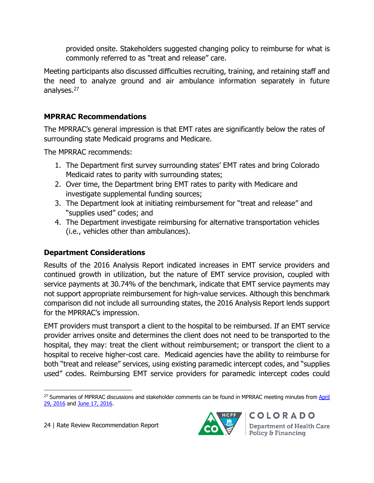provided onsite. Stakeholders suggested changing policy to reimburse for what is commonly referred to as "treat and release" care.

Meeting participants also discussed difficulties recruiting, training, and retaining staff and the need to analyze ground and air ambulance information separately in future analyses.<sup>27</sup>

## **MPRRAC Recommendations**

The MPRRAC's general impression is that EMT rates are significantly below the rates of surrounding state Medicaid programs and Medicare.

The MPRRAC recommends:

- 1. The Department first survey surrounding states' EMT rates and bring Colorado Medicaid rates to parity with surrounding states;
- 2. Over time, the Department bring EMT rates to parity with Medicare and investigate supplemental funding sources;
- 3. The Department look at initiating reimbursement for "treat and release" and "supplies used" codes; and
- 4. The Department investigate reimbursing for alternative transportation vehicles (i.e., vehicles other than ambulances).

## **Department Considerations**

Results of the 2016 Analysis Report indicated increases in EMT service providers and continued growth in utilization, but the nature of EMT service provision, coupled with service payments at 30.74% of the benchmark, indicate that EMT service payments may not support appropriate reimbursement for high-value services. Although this benchmark comparison did not include all surrounding states, the 2016 Analysis Report lends support for the MPRRAC's impression.

EMT providers must transport a client to the hospital to be reimbursed. If an EMT service provider arrives onsite and determines the client does not need to be transported to the hospital, they may: treat the client without reimbursement; or transport the client to a hospital to receive higher-cost care. Medicaid agencies have the ability to reimburse for both "treat and release" services, using existing paramedic intercept codes, and "supplies used" codes. Reimbursing EMT service providers for paramedic intercept codes could

![](_page_23_Picture_14.jpeg)

 $\overline{\phantom{a}}$ <sup>27</sup> Summaries of MPRRAC discussions and stakeholder comments can be found in MPRRAC meeting minutes from April [29, 2016](https://www.colorado.gov/pacific/sites/default/files/MPRRAC%20Meeting%20Minutes%20-%204-29-2016.pdf) and [June 17, 2016.](https://www.colorado.gov/pacific/sites/default/files/MPRRAC%20Meeting%20Minutes%20-%20Draft%20-%206-17-2016.pdf)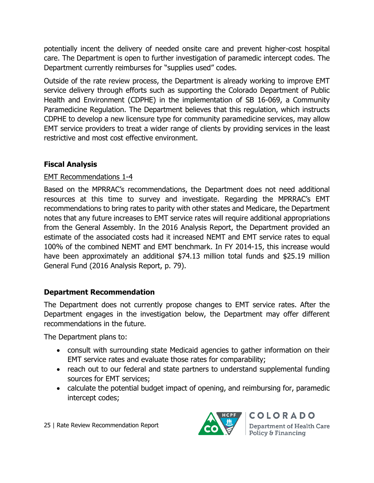potentially incent the delivery of needed onsite care and prevent higher-cost hospital care. The Department is open to further investigation of paramedic intercept codes. The Department currently reimburses for "supplies used" codes.

Outside of the rate review process, the Department is already working to improve EMT service delivery through efforts such as supporting the Colorado Department of Public Health and Environment (CDPHE) in the implementation of SB 16-069, a Community Paramedicine Regulation. The Department believes that this regulation, which instructs CDPHE to develop a new licensure type for community paramedicine services, may allow EMT service providers to treat a wider range of clients by providing services in the least restrictive and most cost effective environment.

## **Fiscal Analysis**

## EMT Recommendations 1-4

Based on the MPRRAC's recommendations, the Department does not need additional resources at this time to survey and investigate. Regarding the MPRRAC's EMT recommendations to bring rates to parity with other states and Medicare, the Department notes that any future increases to EMT service rates will require additional appropriations from the General Assembly. In the 2016 Analysis Report, the Department provided an estimate of the associated costs had it increased NEMT and EMT service rates to equal 100% of the combined NEMT and EMT benchmark. In FY 2014-15, this increase would have been approximately an additional \$74.13 million total funds and \$25.19 million General Fund (2016 Analysis Report, p. 79).

## **Department Recommendation**

The Department does not currently propose changes to EMT service rates. After the Department engages in the investigation below, the Department may offer different recommendations in the future.

The Department plans to:

- consult with surrounding state Medicaid agencies to gather information on their EMT service rates and evaluate those rates for comparability;
- reach out to our federal and state partners to understand supplemental funding sources for EMT services;
- calculate the potential budget impact of opening, and reimbursing for, paramedic intercept codes;

![](_page_24_Picture_11.jpeg)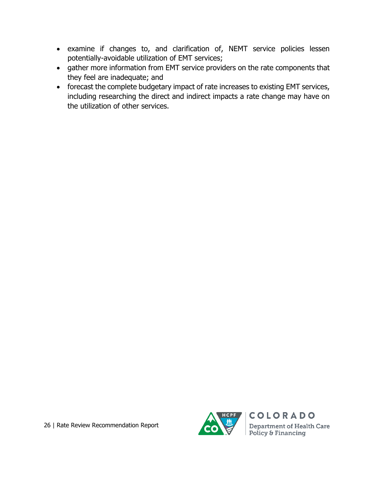- examine if changes to, and clarification of, NEMT service policies lessen potentially-avoidable utilization of EMT services;
- gather more information from EMT service providers on the rate components that they feel are inadequate; and
- forecast the complete budgetary impact of rate increases to existing EMT services, including researching the direct and indirect impacts a rate change may have on the utilization of other services.

![](_page_25_Picture_4.jpeg)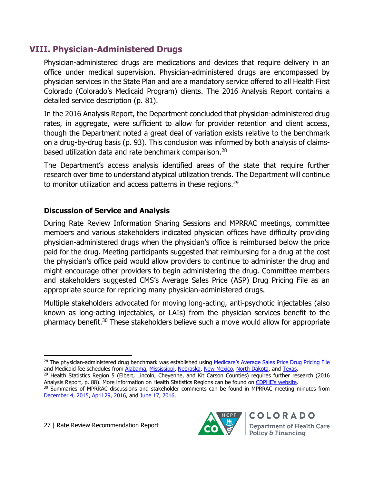# **VIII. Physician-Administered Drugs**

Physician-administered drugs are medications and devices that require delivery in an office under medical supervision. Physician-administered drugs are encompassed by physician services in the State Plan and are a mandatory service offered to all Health First Colorado (Colorado's Medicaid Program) clients. The 2016 Analysis Report contains a detailed service description (p. 81).

In the 2016 Analysis Report, the Department concluded that physician-administered drug rates, in aggregate, were sufficient to allow for provider retention and client access, though the Department noted a great deal of variation exists relative to the benchmark on a drug-by-drug basis (p. 93). This conclusion was informed by both analysis of claimsbased utilization data and rate benchmark comparison.<sup>28</sup>

The Department's access analysis identified areas of the state that require further research over time to understand atypical utilization trends. The Department will continue to monitor utilization and access patterns in these regions.<sup>29</sup>

## **Discussion of Service and Analysis**

During Rate Review Information Sharing Sessions and MPRRAC meetings, committee members and various stakeholders indicated physician offices have difficulty providing physician-administered drugs when the physician's office is reimbursed below the price paid for the drug. Meeting participants suggested that reimbursing for a drug at the cost the physician's office paid would allow providers to continue to administer the drug and might encourage other providers to begin administering the drug. Committee members and stakeholders suggested CMS's Average Sales Price (ASP) Drug Pricing File as an appropriate source for repricing many physician-administered drugs.

Multiple stakeholders advocated for moving long-acting, anti-psychotic injectables (also known as long-acting injectables, or LAIs) from the physician services benefit to the pharmacy benefit.<sup>30</sup> These stakeholders believe such a move would allow for appropriate

![](_page_26_Picture_11.jpeg)

l <sup>28</sup> The physician-administered drug benchmark was established using [Medicare's Average Sales Price Drug Pricing File](https://www.cms.gov/Medicare/Medicare-Fee-for-Service-Part-B-Drugs/McrPartBDrugAvgSalesPrice/2016ASPFiles.html) and Medicaid fee schedules from [Alabama,](http://www.medicaid.alabama.gov/CONTENT/6.0_Providers/6.6_Fee_Schedules.aspx) [Mississippi,](https://www.medicaid.ms.gov/providers/fee-schedules-and-rates/) [Nebraska,](http://dhhs.ne.gov/medicaid/Pages/med_practitioner_fee_schedule.aspx) [New Mexico,](http://www.hsd.state.nm.us/providers/fee-schedules.aspx) [North Dakota,](https://www.nd.gov/dhs/services/medicalserv/medicaid/provider-fee-schedules.html) and [Texas.](http://public.tmhp.com/FeeSchedules/)

<sup>&</sup>lt;sup>29</sup> Health Statistics Region 5 (Elbert, Lincoln, Cheyenne, and Kit Carson Counties) requires further research (2016 Analysis Report, p. 88). More information on Health Statistics Regions can be found on [CDPHE's website](http://www.chd.dphe.state.co.us/HealthDisparitiesProfiles/dispHealthProfiles.aspx).

<sup>&</sup>lt;sup>30</sup> Summaries of MPRRAC discussions and stakeholder comments can be found in MPRRAC meeting minutes from [December 4, 2015,](https://www.colorado.gov/pacific/sites/default/files/12-04-2015%20MPRRAC%20Meeting%20Minutes.pdf) [April 29, 2016,](https://www.colorado.gov/pacific/sites/default/files/MPRRAC%20Meeting%20Minutes%20-%204-29-2016.pdf) and [June 17, 2016.](https://www.colorado.gov/pacific/sites/default/files/MPRRAC%20Meeting%20Minutes%20-%20Draft%20-%206-17-2016.pdf)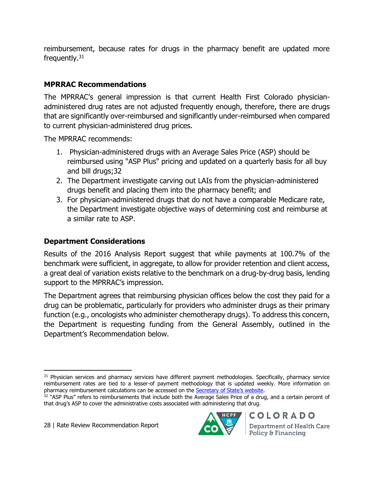reimbursement, because rates for drugs in the pharmacy benefit are updated more frequently.<sup>31</sup>

## **MPRRAC Recommendations**

The MPRRAC's general impression is that current Health First Colorado physicianadministered drug rates are not adjusted frequently enough, therefore, there are drugs that are significantly over-reimbursed and significantly under-reimbursed when compared to current physician-administered drug prices.

The MPRRAC recommends:

- 1. Physician-administered drugs with an Average Sales Price (ASP) should be reimbursed using "ASP Plus" pricing and updated on a quarterly basis for all buy and bill drugs;32
- 2. The Department investigate carving out LAIs from the physician-administered drugs benefit and placing them into the pharmacy benefit; and
- 3. For physician-administered drugs that do not have a comparable Medicare rate, the Department investigate objective ways of determining cost and reimburse at a similar rate to ASP.

## **Department Considerations**

Results of the 2016 Analysis Report suggest that while payments at 100.7% of the benchmark were sufficient, in aggregate, to allow for provider retention and client access, a great deal of variation exists relative to the benchmark on a drug-by-drug basis, lending support to the MPRRAC's impression.

The Department agrees that reimbursing physician offices below the cost they paid for a drug can be problematic, particularly for providers who administer drugs as their primary function (e.g., oncologists who administer chemotherapy drugs). To address this concern, the Department is requesting funding from the General Assembly, outlined in the Department's Recommendation below.

![](_page_27_Picture_13.jpeg)

 $\overline{a}$  $31$  Physician services and pharmacy services have different payment methodologies. Specifically, pharmacy service reimbursement rates are tied to a lesser-of payment methodology that is updated weekly. More information on pharmacy reimbursement calculations can be accessed on the [Secretary of State's website](http://www.sos.state.co.us/CCR/GenerateRulePdf.do?ruleVersionId=6151&fileName=10%20CCR%202505-10%208.800).

 $32$  "ASP Plus" refers to reimbursements that include both the Average Sales Price of a drug, and a certain percent of that drug's ASP to cover the administrative costs associated with administering that drug.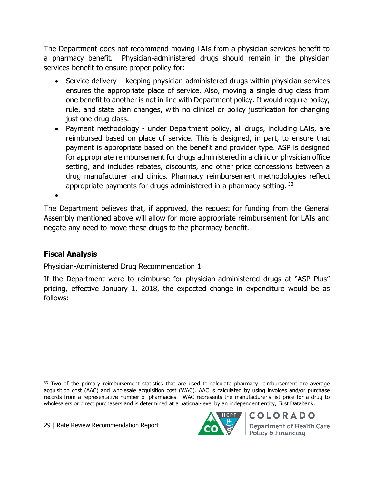The Department does not recommend moving LAIs from a physician services benefit to a pharmacy benefit. Physician-administered drugs should remain in the physician services benefit to ensure proper policy for:

- Service delivery keeping physician-administered drugs within physician services ensures the appropriate place of service. Also, moving a single drug class from one benefit to another is not in line with Department policy. It would require policy, rule, and state plan changes, with no clinical or policy justification for changing just one drug class.
- Payment methodology under Department policy, all drugs, including LAIs, are reimbursed based on place of service. This is designed, in part, to ensure that payment is appropriate based on the benefit and provider type. ASP is designed for appropriate reimbursement for drugs administered in a clinic or physician office setting, and includes rebates, discounts, and other price concessions between a drug manufacturer and clinics. Pharmacy reimbursement methodologies reflect appropriate payments for drugs administered in a pharmacy setting.  $33$

 $\bullet$ 

The Department believes that, if approved, the request for funding from the General Assembly mentioned above will allow for more appropriate reimbursement for LAIs and negate any need to move these drugs to the pharmacy benefit.

## **Fiscal Analysis**

## Physician-Administered Drug Recommendation 1

If the Department were to reimburse for physician-administered drugs at "ASP Plus" pricing, effective January 1, 2018, the expected change in expenditure would be as follows:

![](_page_28_Picture_10.jpeg)

 $\overline{\phantom{a}}$ <sup>33</sup> Two of the primary reimbursement statistics that are used to calculate pharmacy reimbursement are average acquisition cost (AAC) and wholesale acquisition cost (WAC). AAC is calculated by using invoices and/or purchase records from a representative number of pharmacies. WAC represents the manufacturer's list price for a drug to wholesalers or direct purchasers and is determined at a national-level by an independent entity, First Databank.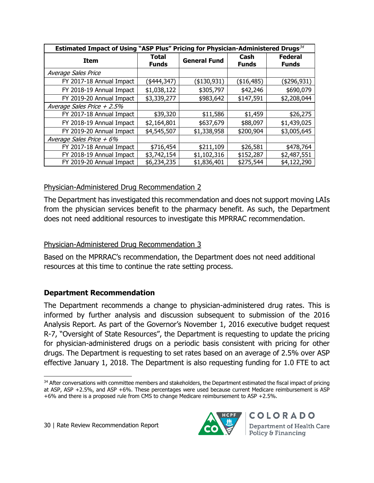| Estimated Impact of Using "ASP Plus" Pricing for Physician-Administered Drugs <sup>34</sup> |                       |                     |                      |                                |  |  |
|---------------------------------------------------------------------------------------------|-----------------------|---------------------|----------------------|--------------------------------|--|--|
| <b>Item</b>                                                                                 | Total<br><b>Funds</b> | <b>General Fund</b> | Cash<br><b>Funds</b> | <b>Federal</b><br><b>Funds</b> |  |  |
| Average Sales Price                                                                         |                       |                     |                      |                                |  |  |
| FY 2017-18 Annual Impact                                                                    | (\$444,347)           | (\$130,931)         | (\$16,485)           | (4296, 931)                    |  |  |
| FY 2018-19 Annual Impact                                                                    | \$1,038,122           | \$305,797           | \$42,246             | \$690,079                      |  |  |
| FY 2019-20 Annual Impact                                                                    | \$3,339,277           | \$983,642           | \$147,591            | \$2,208,044                    |  |  |
| Average Sales Price $+2.5%$                                                                 |                       |                     |                      |                                |  |  |
| FY 2017-18 Annual Impact                                                                    | \$39,320              | \$11,586            | \$1,459              | \$26,275                       |  |  |
| FY 2018-19 Annual Impact                                                                    | \$2,164,801           | \$637,679           | \$88,097             | \$1,439,025                    |  |  |
| FY 2019-20 Annual Impact                                                                    | \$4,545,507           | \$1,338,958         | \$200,904            | \$3,005,645                    |  |  |
| Average Sales Price $+6\%$                                                                  |                       |                     |                      |                                |  |  |
| FY 2017-18 Annual Impact                                                                    | \$716,454             | \$211,109           | \$26,581             | \$478,764                      |  |  |
| FY 2018-19 Annual Impact                                                                    | \$3,742,154           | \$1,102,316         | \$152,287            | \$2,487,551                    |  |  |
| FY 2019-20 Annual Impact                                                                    | \$6,234,235           | \$1,836,401         | \$275,544            | \$4,122,290                    |  |  |

## Physician-Administered Drug Recommendation 2

The Department has investigated this recommendation and does not support moving LAIs from the physician services benefit to the pharmacy benefit. As such, the Department does not need additional resources to investigate this MPRRAC recommendation.

#### Physician-Administered Drug Recommendation 3

Based on the MPRRAC's recommendation, the Department does not need additional resources at this time to continue the rate setting process.

## **Department Recommendation**

The Department recommends a change to physician-administered drug rates. This is informed by further analysis and discussion subsequent to submission of the 2016 Analysis Report. As part of the Governor's November 1, 2016 executive budget request R-7, "Oversight of State Resources", the Department is requesting to update the pricing for physician-administered drugs on a periodic basis consistent with pricing for other drugs. The Department is requesting to set rates based on an average of 2.5% over ASP effective January 1, 2018. The Department is also requesting funding for 1.0 FTE to act

![](_page_29_Picture_9.jpeg)

 $\overline{\phantom{a}}$ <sup>34</sup> After conversations with committee members and stakeholders, the Department estimated the fiscal impact of pricing at ASP, ASP +2.5%, and ASP +6%. These percentages were used because current Medicare reimbursement is ASP +6% and there is a proposed rule from CMS to change Medicare reimbursement to ASP +2.5%.